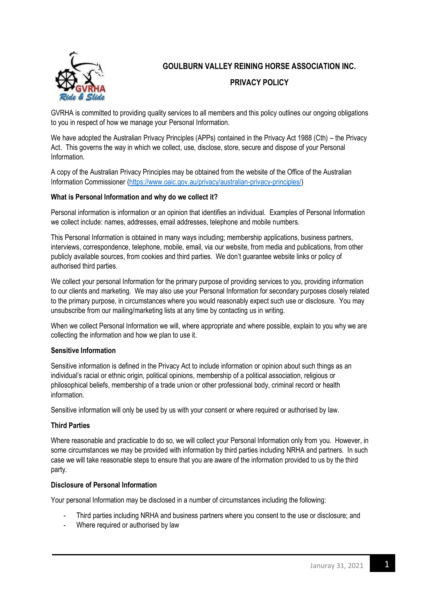

# **GOULBURN VALLEY REINING HORSE ASSOCIATION INC. PRIVACY POLICY**

GVRHA is committed to providing quality services to all members and this policy outlines our ongoing obligations to you in respect of how we manage your Personal Information.

We have adopted the Australian Privacy Principles (APPs) contained in the Privacy Act 1988 (Cth) – the Privacy Act. This governs the way in which we collect, use, disclose, store, secure and dispose of your Personal Information.

A copy of the Australian Privacy Principles may be obtained from the website of the Office of the Australian Information Commissioner [\(https://www.oaic.gov.au/privacy/australian-privacy-principles/\)](https://www.oaic.gov.au/privacy/australian-privacy-principles/)

# **What is Personal Information and why do we collect it?**

Personal information is information or an opinion that identifies an individual. Examples of Personal Information we collect include: names, addresses, email addresses, telephone and mobile numbers.

This Personal Information is obtained in many ways including; membership applications, business partners, interviews, correspondence, telephone, mobile, email, via our website, from media and publications, from other publicly available sources, from cookies and third parties. We don't guarantee website links or policy of authorised third parties.

We collect your personal Information for the primary purpose of providing services to you, providing information to our clients and marketing. We may also use your Personal Information for secondary purposes closely related to the primary purpose, in circumstances where you would reasonably expect such use or disclosure. You may unsubscribe from our mailing/marketing lists at any time by contacting us in writing.

When we collect Personal Information we will, where appropriate and where possible, explain to you why we are collecting the information and how we plan to use it.

## **Sensitive Information**

Sensitive information is defined in the Privacy Act to include information or opinion about such things as an individual's racial or ethnic origin, political opinions, membership of a political association, religious or philosophical beliefs, membership of a trade union or other professional body, criminal record or health information.

Sensitive information will only be used by us with your consent or where required or authorised by law.

## **Third Parties**

Where reasonable and practicable to do so, we will collect your Personal Information only from you. However, in some circumstances we may be provided with information by third parties including NRHA and partners. In such case we will take reasonable steps to ensure that you are aware of the information provided to us by the third party.

#### **Disclosure of Personal Information**

Your personal Information may be disclosed in a number of circumstances including the following:

- Third parties including NRHA and business partners where you consent to the use or disclosure; and
- Where required or authorised by law